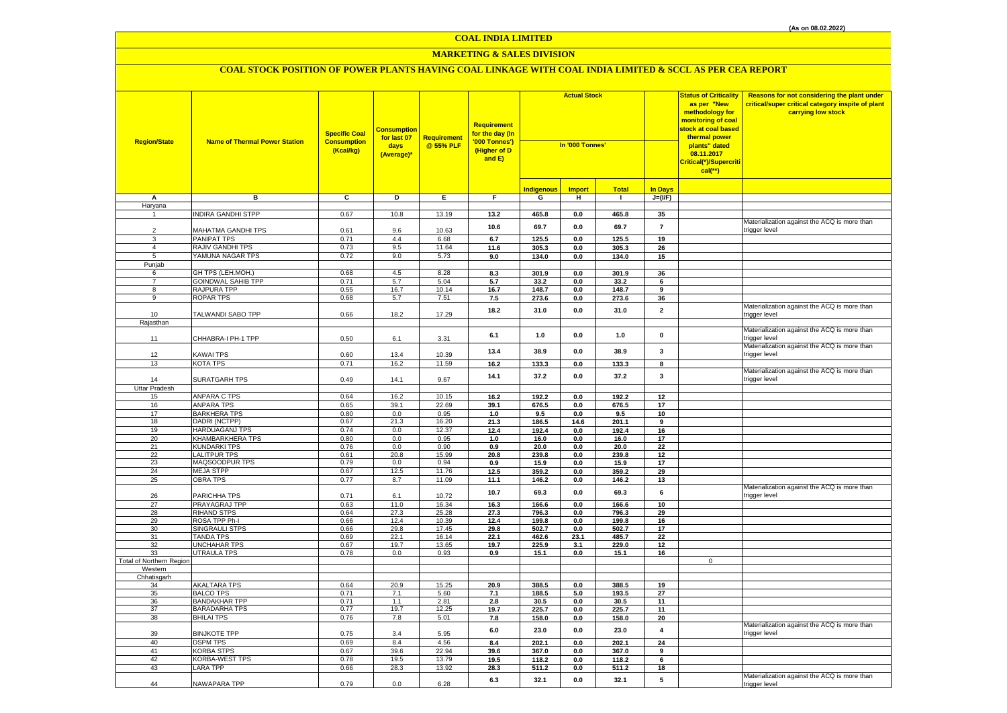# **MARKETING & SALES DIVISION**

| $cal$ (**)                                                                                                                                                                       |  |
|----------------------------------------------------------------------------------------------------------------------------------------------------------------------------------|--|
| <b>Indigenous</b><br><b>Total</b><br>In Days<br><b>Import</b>                                                                                                                    |  |
| c<br>Þ<br>E<br>Α<br>в<br>F.<br>G<br>н<br>$\mathbf{I}$<br>J=(I/F)                                                                                                                 |  |
| Haryana                                                                                                                                                                          |  |
| <b>INDIRA GANDHI STPP</b><br>0.67<br>10.8<br>13.19<br>13.2<br>465.8<br>0.0<br>465.8<br>35<br>$\overline{1}$                                                                      |  |
| Materialization against the ACQ is more than<br>10.6<br>69.7<br>0.0<br>69.7<br>$\overline{7}$                                                                                    |  |
| rigger level<br>$\overline{2}$<br>MAHATMA GANDHI TPS<br>0.61<br>9.6<br>10.63<br><b>PANIPAT TPS</b><br>0.71<br>4.4<br>6.68<br>3                                                   |  |
| 125.5<br>125.5<br>19<br>6.7<br>0.0<br><b>RAJIV GANDHI TPS</b><br>9.5<br>11.64<br>$\overline{4}$<br>0.73                                                                          |  |
| 305.3<br>305.3<br>26<br>11.6<br>0.0<br>5<br>YAMUNA NAGAR TPS<br>9.0                                                                                                              |  |
| 0.72<br>5.73<br>15<br>9.0<br>134.0<br>0.0<br>134.0                                                                                                                               |  |
| Punjab                                                                                                                                                                           |  |
| GH TPS (LEH.MOH.)<br>0.68<br>4.5<br>8.28<br>8.3<br>301.9<br>0.0<br>301.9<br>36<br>6<br>$\overline{7}$                                                                            |  |
| <b>GOINDWAL SAHIB TPP</b><br>0.71<br>5.7<br>5.04<br>33.2<br>5.7<br>0.0<br>33.2<br>6<br><b>RAJPURA TPP</b><br>16.7                                                                |  |
| 0.55<br>10.14<br>148.7<br>8<br>16.7<br>$0.0\,$<br>148.7<br>9                                                                                                                     |  |
| <b>ROPAR TPS</b><br>0.68<br>5.7<br>7.51<br>273.6<br>273.6<br>36<br>9<br>7.5<br>0.0                                                                                               |  |
| Materialization against the ACQ is more than<br>$\overline{2}$<br>18.2<br>31.0<br>0.0<br>31.0<br>10<br>TALWANDI SABO TPP<br>0.66<br>18.2<br>17.29<br>trigger level               |  |
| Rajasthan                                                                                                                                                                        |  |
| Materialization against the ACQ is more than                                                                                                                                     |  |
| 6.1<br>$1.0$<br>0.0<br>$1.0$<br>$\pmb{0}$<br>CHHABRA-I PH-1 TPP<br>0.50<br>3.31<br>trigger level<br>11<br>6.1                                                                    |  |
| Materialization against the ACQ is more than                                                                                                                                     |  |
| 13.4<br>38.9<br>$0.0\,$<br>38.9<br>$\mathbf{3}$<br>10.39<br>12<br>KAWAI TPS<br>0.60<br>13.4<br>rigger level                                                                      |  |
| 13<br><b>KOTA TPS</b><br>0.71<br>16.2<br>11.59<br>16.2<br>133.3<br>0.0<br>133.3<br>8                                                                                             |  |
| Materialization against the ACQ is more than                                                                                                                                     |  |
| 14.1<br>37.2<br>0.0<br>37.2<br>3<br>SURATGARH TPS<br>0.49<br>9.67<br>trigger level<br>14<br>14.1                                                                                 |  |
| <b>Uttar Pradesh</b>                                                                                                                                                             |  |
| <b>ANPARA C TPS</b><br>0.64<br>16.2<br>10.15<br>192.2<br>15<br>16.2<br>0.0<br>192.2<br>12                                                                                        |  |
| $16\,$<br><b>ANPARA TPS</b><br>0.65<br>39.1<br>22.69<br>39.1<br>676.5<br>0.0<br>676.5<br>17                                                                                      |  |
| 17<br><b>BARKHERA TPS</b><br>0.0<br>0.95<br>10<br>0.80<br>1.0<br>9.5<br>0.0<br>9.5                                                                                               |  |
| 18<br>DADRI (NCTPP)<br>0.67<br>21.3<br>16.20<br>21.3<br>186.5<br>14.6<br>201.1<br>9                                                                                              |  |
| 19<br>0.74<br>0.0<br>12.37<br><b>HARDUAGANJ TPS</b><br>12.4<br>192.4<br>0.0<br>192.4<br>16                                                                                       |  |
| 20<br><b>KHAMBARKHERA TPS</b><br>0.80<br>0.0<br>0.95<br>17<br>1.0<br>16.0<br>0.0<br>16.0                                                                                         |  |
| 21<br><b>KUNDARKI TPS</b><br>0.76<br>0.0<br>0.90<br>0.9<br>20.0<br>0.0<br>20.0<br>22                                                                                             |  |
| 22<br><b>LALITPUR TPS</b><br>0.61<br>20.8<br>15.99<br>20.8<br>239.8<br>$0.0\,$<br>239.8<br>12                                                                                    |  |
| 23<br>MAQSOODPUR TPS<br>0.79<br>0.0<br>0.94<br>0.9<br>15.9<br>15.9<br>17<br>0.0                                                                                                  |  |
| 24<br>12.5<br><b>MEJA STPP</b><br>0.67<br>11.76<br>359.2<br>29<br>12.5<br>0.0<br>359.2                                                                                           |  |
| 25<br>OBRA TPS<br>0.77<br>8.7<br>11.09<br>11.1<br>146.2<br>0.0<br>146.2<br>13                                                                                                    |  |
| Materialization against the ACQ is more than<br>10.7<br>69.3<br>0.0<br>69.3<br>6                                                                                                 |  |
| 10.72<br>26<br>PARICHHA TPS<br>0.71<br>6.1<br>trigger level                                                                                                                      |  |
| 27<br>PRAYAGRAJ TPP<br>0.63<br>11.0<br>16.34<br>166.6<br>166.6<br>10<br>16.3<br>0.0                                                                                              |  |
| <b>RIHAND STPS</b><br>28<br>0.64<br>27.3<br>25.28<br>27.3<br>796.3<br>29<br>0.0<br>796.3                                                                                         |  |
| ROSA TPP Ph-I<br>29<br>0.66<br>12.4<br>10.39<br>12.4<br>199.8<br>199.8<br>16<br>0.0                                                                                              |  |
| 30<br><b>SINGRAULI STPS</b><br>0.66<br>29.8<br>17.45<br>29.8<br>17<br>502.7<br>0.0<br>502.7                                                                                      |  |
| 31<br><b>TANDA TPS</b><br>0.69<br>22.1<br>16.14<br>$\overline{22}$<br>22.1<br>462.6<br>485.7<br>23.1                                                                             |  |
| 32<br><b>UNCHAHAR TPS</b><br>0.67<br>19.7<br>225.9<br>12<br>13.65<br>19.7<br>229.0<br>3.1<br><b>UTRAULA TPS</b><br>0.78<br>0.0<br>0.93<br>0.9<br>0.0<br>16<br>33<br>15.1<br>15.1 |  |
| Total of Northern Region<br>$\mathbf 0$                                                                                                                                          |  |
| Western                                                                                                                                                                          |  |
| Chhatisgarh                                                                                                                                                                      |  |
| <b>AKALTARA TPS</b><br>20.9<br>15.25<br>20.9<br>388.5<br>0.0<br>388.5<br>19<br>0.64<br>34                                                                                        |  |
| 27<br>35<br><b>BALCO TPS</b><br>0.71<br>5.60<br>188.5<br>193.5<br>7.1<br>7.1<br>5.0                                                                                              |  |
| <b>BANDAKHAR TPP</b><br>0.71<br>2.81<br>2.8<br>30.5<br>30.5<br>11<br>36<br>1.1<br>0.0                                                                                            |  |
| <b>BARADARHA TPS</b><br>19.7<br>37<br>0.77<br>12.25<br>11<br>19.7<br>225.7<br>0.0<br>225.7                                                                                       |  |
| <b>BHILAI TPS</b><br>38<br>0.76<br>7.8<br>5.01<br>7.8<br>158.0<br>0.0<br>158.0<br>20                                                                                             |  |
| Materialization against the ACQ is more than<br>6.0<br>23.0<br>0.0<br>23.0<br>$\overline{\mathbf{4}}$<br><b>BINJKOTE TPP</b><br>trigger level<br>39<br>0.75<br>3.4<br>5.95       |  |
| 40<br><b>DSPM TPS</b><br>0.69<br>8.4<br>4.56<br>8.4<br>202.1<br>202.1<br>24<br>0.0                                                                                               |  |
| 41<br>0.67<br>39.6<br>22.94<br><b>KORBA STPS</b><br>9<br>39.6<br>367.0<br>0.0<br>367.0                                                                                           |  |
| 42<br>0.78<br>19.5<br>13.79<br>KORBA-WEST TPS<br>19.5<br>118.2<br>0.0<br>118.2<br>6                                                                                              |  |
| 43<br><b>LARA TPP</b><br>0.66<br>28.3<br>13.92<br>28.3<br>511.2<br>18<br>511.2<br>0.0                                                                                            |  |
| Materialization against the ACQ is more than<br>6.3<br>32.1<br>32.1<br>5<br>0.0<br>44<br>NAWAPARA TPP<br>0.79<br>0.0<br>6.28<br>trigger level                                    |  |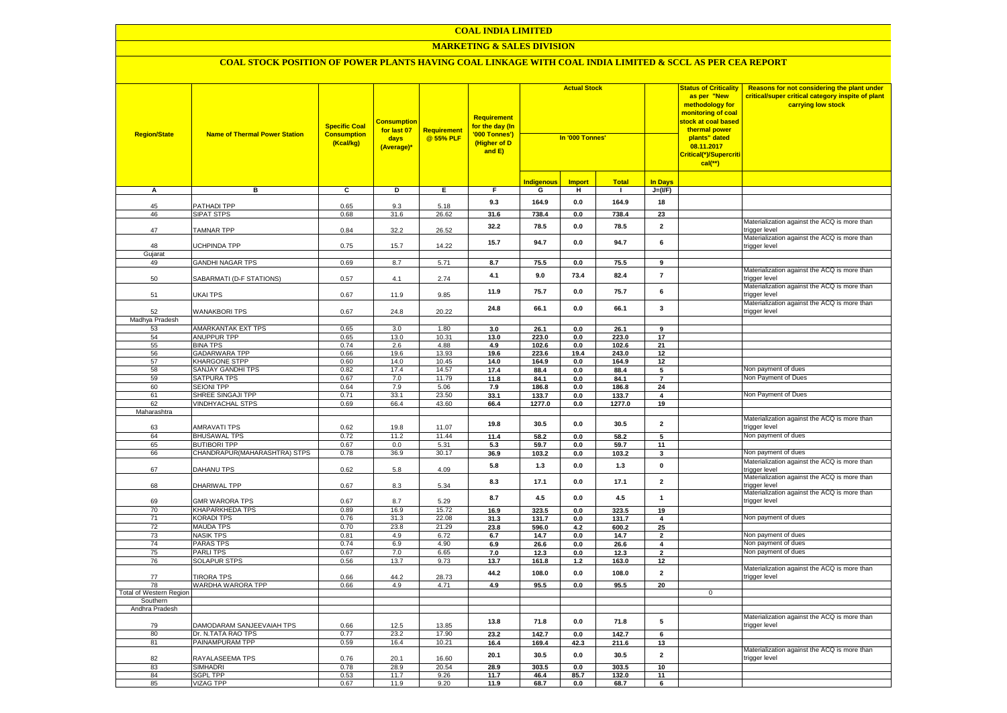### **MARKETING & SALES DIVISION**

| <b>Region/State</b>     | <b>Name of Thermal Power Station</b>    | <b>Specific Coal</b><br><b>Consumption</b><br>(Kcal/kg) | <u>Consumption</u><br>for last 07<br>days<br>(Average)* | <b>Requirement</b><br>@ 55% PLF | Requirement<br>for the day (In<br>'000 Tonnes')<br>(Higher of D<br>and E) | <b>Actual Stock</b><br>In '000 Tonnes' |               |              |                         | <b>Status of Criticality</b><br>as per "New<br>methodology for<br><mark>monitoring of coal</mark><br>stock at coal based<br>thermal power<br>plants" dated<br>08.11.2017<br>Critical(*)/Supercriti<br>$cal$ (**) | Reasons for not considering the plant under<br>critical/super critical category inspite of plant<br>carrying low stock |
|-------------------------|-----------------------------------------|---------------------------------------------------------|---------------------------------------------------------|---------------------------------|---------------------------------------------------------------------------|----------------------------------------|---------------|--------------|-------------------------|------------------------------------------------------------------------------------------------------------------------------------------------------------------------------------------------------------------|------------------------------------------------------------------------------------------------------------------------|
|                         |                                         |                                                         |                                                         |                                 |                                                                           | <b>Indigenous</b>                      | <b>Import</b> | <b>Total</b> | In Days                 |                                                                                                                                                                                                                  |                                                                                                                        |
| Α                       | в                                       | c                                                       | Þ                                                       | Ε.                              | F                                                                         | G                                      | н             | $\mathbf{L}$ | $J=(VF)$                |                                                                                                                                                                                                                  |                                                                                                                        |
|                         |                                         |                                                         |                                                         |                                 | 9.3                                                                       | 164.9                                  | 0.0           | 164.9        | 18                      |                                                                                                                                                                                                                  |                                                                                                                        |
| 45<br>46                | <b>PATHADI TPP</b><br><b>SIPAT STPS</b> | 0.65<br>0.68                                            | 9.3<br>31.6                                             | 5.18<br>26.62                   | 31.6                                                                      | 738.4                                  | 0.0           | 738.4        | 23                      |                                                                                                                                                                                                                  |                                                                                                                        |
|                         |                                         |                                                         |                                                         |                                 |                                                                           |                                        |               |              |                         |                                                                                                                                                                                                                  | Materialization against the ACQ is more than                                                                           |
| 47                      | TAMNAR TPP                              | 0.84                                                    | 32.2                                                    | 26.52                           | 32.2                                                                      | 78.5                                   | 0.0           | 78.5         | $\overline{\mathbf{2}}$ |                                                                                                                                                                                                                  | trigger level                                                                                                          |
|                         |                                         |                                                         |                                                         |                                 | 15.7                                                                      | 94.7                                   | 0.0           | 94.7         | 6                       |                                                                                                                                                                                                                  | Materialization against the ACQ is more than                                                                           |
| 48                      | <b>JCHPINDA TPP</b>                     | 0.75                                                    | 15.7                                                    | 14.22                           |                                                                           |                                        |               |              |                         |                                                                                                                                                                                                                  | trigger level                                                                                                          |
| Gujarat                 |                                         |                                                         |                                                         |                                 |                                                                           |                                        |               |              |                         |                                                                                                                                                                                                                  |                                                                                                                        |
| 49                      | <b>GANDHI NAGAR TPS</b>                 | 0.69                                                    | 8.7                                                     | 5.71                            | 8.7                                                                       | 75.5                                   | 0.0           | 75.5         | 9                       |                                                                                                                                                                                                                  |                                                                                                                        |
| 50                      | SABARMATI (D-F STATIONS)                | 0.57                                                    | 4.1                                                     | 2.74                            | 4.1                                                                       | 9.0                                    | 73.4          | 82.4         | $\overline{\mathbf{r}}$ |                                                                                                                                                                                                                  | Materialization against the ACQ is more than<br>trigger level                                                          |
|                         |                                         |                                                         |                                                         |                                 |                                                                           |                                        |               |              |                         |                                                                                                                                                                                                                  | Materialization against the ACQ is more than                                                                           |
| 51                      | UKAI TPS                                | 0.67                                                    | 11.9                                                    | 9.85                            | 11.9                                                                      | 75.7                                   | 0.0           | 75.7         | 6                       |                                                                                                                                                                                                                  | trigger level                                                                                                          |
|                         |                                         |                                                         |                                                         |                                 |                                                                           |                                        |               |              |                         |                                                                                                                                                                                                                  | Materialization against the ACQ is more than                                                                           |
| 52                      | <b>WANAKBORI TPS</b>                    | 0.67                                                    | 24.8                                                    | 20.22                           | 24.8                                                                      | 66.1                                   | 0.0           | 66.1         | 3                       |                                                                                                                                                                                                                  | trigger level                                                                                                          |
| Madhya Pradesh          |                                         |                                                         |                                                         |                                 |                                                                           |                                        |               |              |                         |                                                                                                                                                                                                                  |                                                                                                                        |
| 53                      | AMARKANTAK EXT TPS                      | 0.65                                                    | 3.0                                                     | 1.80                            | 3.0                                                                       | 26.1                                   | 0.0           | 26.1         | 9                       |                                                                                                                                                                                                                  |                                                                                                                        |
| 54                      | <b>ANUPPUR TPP</b>                      | 0.65                                                    | 13.0                                                    | 10.31                           | 13.0                                                                      | 223.0                                  | 0.0           | 223.0        | 17                      |                                                                                                                                                                                                                  |                                                                                                                        |
| 55                      | <b>BINA TPS</b>                         | 0.74                                                    | 2.6                                                     | 4.88                            | 4.9                                                                       | 102.6                                  | 0.0           | 102.6        | 21                      |                                                                                                                                                                                                                  |                                                                                                                        |
| 56                      | GADARWARA TPP                           | 0.66                                                    | 19.6                                                    | 13.93                           | 19.6                                                                      | 223.6                                  | 19.4          | 243.0        | 12                      |                                                                                                                                                                                                                  |                                                                                                                        |
| 57                      | KHARGONE STPP                           | 0.60<br>0.82                                            | 14.0<br>17.4                                            | 10.45<br>14.57                  | 14.0                                                                      | 164.9                                  | 0.0           | 164.9        | 12                      |                                                                                                                                                                                                                  | Non payment of dues                                                                                                    |
| 58<br>59                | SANJAY GANDHI TPS<br><b>SATPURA TPS</b> | 0.67                                                    | 7.0                                                     | 11.79                           | 17.4<br>11.8                                                              | 88.4<br>84.1                           | 0.0<br>0.0    | 88.4<br>84.1 | 5<br>$\overline{7}$     |                                                                                                                                                                                                                  | Non Payment of Dues                                                                                                    |
| 60                      | <b>SEIONI TPP</b>                       | 0.64                                                    | 7.9                                                     | 5.06                            | 7.9                                                                       | 186.8                                  | 0.0           | 186.8        | ${\bf 24}$              |                                                                                                                                                                                                                  |                                                                                                                        |
| 61                      | SHREE SINGAJI TPP                       | 0.71                                                    | 33.1                                                    | 23.50                           | 33.1                                                                      | 133.7                                  | 0.0           | 133.7        | 4                       |                                                                                                                                                                                                                  | Non Payment of Dues                                                                                                    |
| 62                      | <b>VINDHYACHAL STPS</b>                 | 0.69                                                    | 66.4                                                    | 43.60                           | 66.4                                                                      | 1277.0                                 | 0.0           | 1277.0       | 19                      |                                                                                                                                                                                                                  |                                                                                                                        |
| Maharashtra             |                                         |                                                         |                                                         |                                 |                                                                           |                                        |               |              |                         |                                                                                                                                                                                                                  |                                                                                                                        |
|                         |                                         |                                                         |                                                         |                                 |                                                                           |                                        |               |              |                         |                                                                                                                                                                                                                  | Materialization against the ACQ is more than                                                                           |
| 63                      | AMRAVATI TPS                            | 0.62                                                    | 19.8                                                    | 11.07                           | 19.8                                                                      | 30.5                                   | $0.0\,$       | 30.5         | $\mathbf{2}$            |                                                                                                                                                                                                                  | trigger level                                                                                                          |
| 64                      | <b>BHUSAWAL TPS</b>                     | 0.72                                                    | 11.2                                                    | 11.44                           | 11.4                                                                      | 58.2                                   | 0.0           | 58.2         | $\overline{\mathbf{5}}$ |                                                                                                                                                                                                                  | Non payment of dues                                                                                                    |
| 65                      | <b>BUTIBORI TPP</b>                     | 0.67                                                    | 0.0                                                     | 5.31                            | 5.3                                                                       | 59.7                                   | 0.0           | 59.7         | 11                      |                                                                                                                                                                                                                  |                                                                                                                        |
| 66                      | CHANDRAPUR(MAHARASHTRA) STPS            | 0.78                                                    | 36.9                                                    | 30.17                           | 36.9                                                                      | 103.2                                  | 0.0           | 103.2        | 3                       |                                                                                                                                                                                                                  | Non payment of dues                                                                                                    |
|                         |                                         |                                                         |                                                         |                                 | 5.8                                                                       | $1.3$                                  | 0.0           | 1.3          | $\pmb{0}$               |                                                                                                                                                                                                                  | Materialization against the ACQ is more than                                                                           |
| 67                      | DAHANU TPS                              | 0.62                                                    | 5.8                                                     | 4.09                            |                                                                           |                                        |               |              |                         |                                                                                                                                                                                                                  | trigger level                                                                                                          |
| 68                      | DHARIWAL TPP                            | 0.67                                                    | 8.3                                                     | 5.34                            | 8.3                                                                       | 17.1                                   | 0.0           | 17.1         | $\mathbf{2}$            |                                                                                                                                                                                                                  | Materialization against the ACQ is more than<br>trigger level                                                          |
|                         |                                         |                                                         |                                                         |                                 |                                                                           |                                        |               |              |                         |                                                                                                                                                                                                                  | Materialization against the ACQ is more than                                                                           |
| 69                      | <b>GMR WARORA TPS</b>                   | 0.67                                                    | 8.7                                                     | 5.29                            | 8.7                                                                       | 4.5                                    | 0.0           | 4.5          | $\mathbf{1}$            |                                                                                                                                                                                                                  | trigger level                                                                                                          |
| 70                      | KHAPARKHEDA TPS                         | 0.89                                                    | 16.9                                                    | 15.72                           | 16.9                                                                      | 323.5                                  | 0.0           | 323.5        | 19                      |                                                                                                                                                                                                                  |                                                                                                                        |
| 71                      | <b>KORADI TPS</b>                       | 0.76                                                    | 31.3                                                    | 22.08                           | 31.3                                                                      | 131.7                                  | 0.0           | 131.7        | 4                       |                                                                                                                                                                                                                  | Non payment of dues                                                                                                    |
| 72                      | <b>MAUDA TPS</b>                        | 0.70                                                    | 23.8                                                    | 21.29                           | 23.8                                                                      | 596.0                                  | 4.2           | 600.2        | 25                      |                                                                                                                                                                                                                  |                                                                                                                        |
| 73                      | <b>NASIK TPS</b>                        | 0.81                                                    | 4.9                                                     | 6.72                            | 6.7                                                                       | 14.7                                   | 0.0           | 14.7         | $\overline{2}$          |                                                                                                                                                                                                                  | Non payment of dues                                                                                                    |
| 74                      | PARAS TPS                               | 0.74                                                    | 6.9                                                     | 4.90                            | 6.9                                                                       | 26.6                                   | 0.0           | 26.6         | 4                       |                                                                                                                                                                                                                  | Non payment of dues                                                                                                    |
| 75                      | PARLI TPS                               | 0.67                                                    | 7.0                                                     | 6.65                            | 7.0                                                                       | 12.3                                   | 0.0           | 12.3         | $\overline{\mathbf{2}}$ |                                                                                                                                                                                                                  | Non payment of dues                                                                                                    |
| 76                      | <b>SOLAPUR STPS</b>                     | 0.56                                                    | 13.7                                                    | 9.73                            | 13.7                                                                      | 161.8                                  | 1.2           | 163.0        | 12                      |                                                                                                                                                                                                                  | Materialization against the ACQ is more than                                                                           |
| 77                      | <b>TIRORA TPS</b>                       | 0.66                                                    | 44.2                                                    | 28.73                           | 44.2                                                                      | 108.0                                  | 0.0           | 108.0        | $\overline{\mathbf{2}}$ |                                                                                                                                                                                                                  | trigger level                                                                                                          |
| 78                      | WARDHA WARORA TPP                       | 0.66                                                    | 4.9                                                     | 4.71                            | 4.9                                                                       | 95.5                                   | 0.0           | 95.5         | 20                      |                                                                                                                                                                                                                  |                                                                                                                        |
| Total of Western Region |                                         |                                                         |                                                         |                                 |                                                                           |                                        |               |              |                         | $\mathbf{0}$                                                                                                                                                                                                     |                                                                                                                        |
| Southern                |                                         |                                                         |                                                         |                                 |                                                                           |                                        |               |              |                         |                                                                                                                                                                                                                  |                                                                                                                        |
| Andhra Pradesh          |                                         |                                                         |                                                         |                                 |                                                                           |                                        |               |              |                         |                                                                                                                                                                                                                  |                                                                                                                        |
|                         |                                         |                                                         |                                                         |                                 | 13.8                                                                      | 71.8                                   | 0.0           | 71.8         | 5                       |                                                                                                                                                                                                                  | Materialization against the ACQ is more than                                                                           |
| 79                      | DAMODARAM SANJEEVAIAH TPS               | 0.66                                                    | 12.5                                                    | 13.85                           |                                                                           |                                        |               |              |                         |                                                                                                                                                                                                                  | trigger level                                                                                                          |
| 80<br>81                | Dr. N.TATA RAO TPS<br>PAINAMPURAM TPP   | 0.77                                                    | 23.2<br>16.4                                            | 17.90<br>10.21                  | 23.2                                                                      | 142.7                                  | 0.0           | 142.7        | 6                       |                                                                                                                                                                                                                  |                                                                                                                        |
|                         |                                         | 0.59                                                    |                                                         |                                 | 16.4                                                                      | 169.4                                  | 42.3          | 211.6        | 13                      |                                                                                                                                                                                                                  | Materialization against the ACQ is more than                                                                           |
| 82                      | RAYALASEEMA TPS                         | 0.76                                                    | 20.1                                                    | 16.60                           | 20.1                                                                      | 30.5                                   | 0.0           | 30.5         | $\mathbf 2$             |                                                                                                                                                                                                                  | trigger level                                                                                                          |
| 83                      | <b>SIMHADRI</b>                         | 0.78                                                    | 28.9                                                    | 20.54                           | 28.9                                                                      | 303.5                                  | 0.0           | 303.5        | 10                      |                                                                                                                                                                                                                  |                                                                                                                        |
| 84                      | <b>SGPL TPP</b>                         | 0.53                                                    | 11.7                                                    | 9.26                            | 11.7                                                                      | 46.4                                   | 85.7          | 132.0        | 11                      |                                                                                                                                                                                                                  |                                                                                                                        |
| 85                      | <b>VIZAG TPP</b>                        | 0.67                                                    | 11.9                                                    | 9.20                            | 11.9                                                                      | 68.7                                   | 0.0           | 68.7         | <b>R</b>                |                                                                                                                                                                                                                  |                                                                                                                        |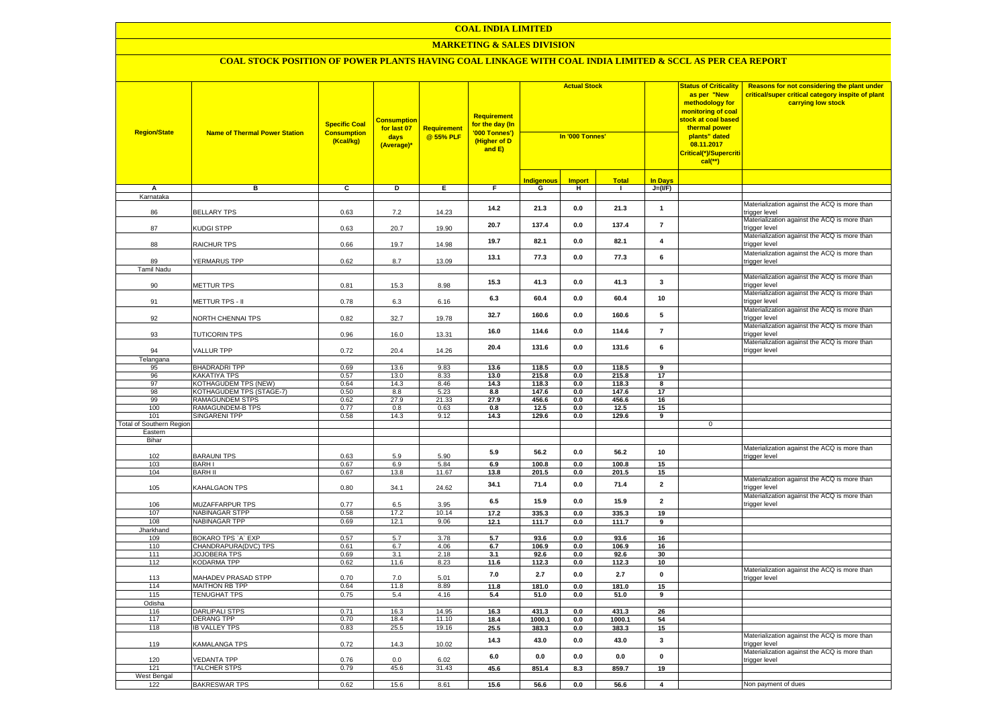# **MARKETING & SALES DIVISION**

| <b>Region/State</b>             | <b>Name of Thermal Power Station</b> | <b>Specific Coal</b><br><b>Consumption</b><br>(Kcal/kg) | <mark>Consumption</mark><br>for last 07<br>days<br>(Average)* | Requirement<br>@ 55% PLF | Requirement<br>for the day (In<br>'000 Tonnes')<br>(Higher of D<br>and E) | <b>Actual Stock</b><br>In '000 Tonnes' |               | <b>Status of Criticality</b><br>as per "New<br>methodology for<br>monitoring of coal<br><mark>stock at coal based</mark><br>thermal power<br>plants" dated<br>08.11.2017<br>Critical(*)/Supercriti<br>$cal(**)$ |                         | Reasons for not considering the plant under<br>critical/super critical category inspite of plant<br>carrying low stock |                                                               |
|---------------------------------|--------------------------------------|---------------------------------------------------------|---------------------------------------------------------------|--------------------------|---------------------------------------------------------------------------|----------------------------------------|---------------|-----------------------------------------------------------------------------------------------------------------------------------------------------------------------------------------------------------------|-------------------------|------------------------------------------------------------------------------------------------------------------------|---------------------------------------------------------------|
|                                 |                                      |                                                         |                                                               |                          |                                                                           | <b>Indigenous</b>                      | <b>Import</b> | <b>Total</b>                                                                                                                                                                                                    | <b>In Days</b>          |                                                                                                                        |                                                               |
| Α                               | в                                    | c                                                       | D                                                             | Е                        | F.                                                                        | G                                      | н             | $\blacksquare$                                                                                                                                                                                                  | $J=(VF)$                |                                                                                                                        |                                                               |
| Karnataka                       |                                      |                                                         |                                                               |                          |                                                                           |                                        |               |                                                                                                                                                                                                                 |                         |                                                                                                                        | Materialization against the ACQ is more than                  |
| 86                              | <b>BELLARY TPS</b>                   | 0.63                                                    | 7.2                                                           | 14.23                    | 14.2                                                                      | 21.3                                   | 0.0           | 21.3                                                                                                                                                                                                            | $\overline{1}$          |                                                                                                                        | trigger level                                                 |
|                                 |                                      |                                                         |                                                               |                          | 20.7                                                                      | 137.4                                  | 0.0           | 137.4                                                                                                                                                                                                           | $\overline{7}$          |                                                                                                                        | Materialization against the ACQ is more than                  |
| 87                              | KUDGI STPP                           | 0.63                                                    | 20.7                                                          | 19.90                    |                                                                           |                                        |               |                                                                                                                                                                                                                 |                         |                                                                                                                        | trigger level                                                 |
| 88                              | RAICHUR TPS                          | 0.66                                                    | 19.7                                                          | 14.98                    | 19.7                                                                      | 82.1                                   | 0.0           | 82.1                                                                                                                                                                                                            | 4                       |                                                                                                                        | Materialization against the ACQ is more than<br>trigger level |
|                                 |                                      |                                                         |                                                               |                          |                                                                           |                                        |               |                                                                                                                                                                                                                 |                         |                                                                                                                        | Materialization against the ACQ is more than                  |
| 89                              | YERMARUS TPP                         | 0.62                                                    | 8.7                                                           | 13.09                    | 13.1                                                                      | 77.3                                   | 0.0           | 77.3                                                                                                                                                                                                            | 6                       |                                                                                                                        | trigger level                                                 |
| <b>Tamil Nadu</b>               |                                      |                                                         |                                                               |                          |                                                                           |                                        |               |                                                                                                                                                                                                                 |                         |                                                                                                                        |                                                               |
|                                 |                                      |                                                         |                                                               |                          | 15.3                                                                      | 41.3                                   | 0.0           | 41.3                                                                                                                                                                                                            | 3                       |                                                                                                                        | Materialization against the ACQ is more than                  |
| 90                              | METTUR TPS                           | 0.81                                                    | 15.3                                                          | 8.98                     |                                                                           |                                        |               |                                                                                                                                                                                                                 |                         |                                                                                                                        | trigger level                                                 |
| 91                              | METTUR TPS - II                      | 0.78                                                    | 6.3                                                           | 6.16                     | 6.3                                                                       | 60.4                                   | 0.0           | 60.4                                                                                                                                                                                                            | 10                      |                                                                                                                        | Materialization against the ACQ is more than<br>trigger level |
|                                 |                                      |                                                         |                                                               |                          |                                                                           |                                        |               |                                                                                                                                                                                                                 |                         |                                                                                                                        | Materialization against the ACQ is more than                  |
| 92                              | NORTH CHENNAI TPS                    | 0.82                                                    | 32.7                                                          | 19.78                    | 32.7                                                                      | 160.6                                  | 0.0           | 160.6                                                                                                                                                                                                           | 5                       |                                                                                                                        | trigger level                                                 |
|                                 |                                      |                                                         |                                                               |                          | 16.0                                                                      | 114.6                                  | 0.0           | 114.6                                                                                                                                                                                                           | $\bf 7$                 |                                                                                                                        | Materialization against the ACQ is more than                  |
| 93                              | <b>TUTICORIN TPS</b>                 | 0.96                                                    | 16.0                                                          | 13.31                    |                                                                           |                                        |               |                                                                                                                                                                                                                 |                         |                                                                                                                        | trigger level                                                 |
| 94                              | <b>VALLUR TPP</b>                    | 0.72                                                    |                                                               | 14.26                    | 20.4                                                                      | 131.6                                  | 0.0           | 131.6                                                                                                                                                                                                           | 6                       |                                                                                                                        | Materialization against the ACQ is more than                  |
| Telangana                       |                                      |                                                         | 20.4                                                          |                          |                                                                           |                                        |               |                                                                                                                                                                                                                 |                         |                                                                                                                        | trigger level                                                 |
| 95                              | <b>BHADRADRI TPP</b>                 | 0.69                                                    | 13.6                                                          | 9.83                     | 13.6                                                                      | 118.5                                  | 0.0           | 118.5                                                                                                                                                                                                           | 9                       |                                                                                                                        |                                                               |
| 96                              | <b>KAKATIYA TPS</b>                  | 0.57                                                    | 13.0                                                          | 8.33                     | 13.0                                                                      | 215.8                                  | 0.0           | 215.8                                                                                                                                                                                                           | 17                      |                                                                                                                        |                                                               |
| 97                              | <b>KOTHAGUDEM TPS (NEW)</b>          | 0.64                                                    | 14.3                                                          | 8.46                     | 14.3                                                                      | 118.3                                  | 0.0           | 118.3                                                                                                                                                                                                           | 8                       |                                                                                                                        |                                                               |
| 98                              | KOTHAGUDEM TPS (STAGE-7)             | 0.50                                                    | 8.8                                                           | 5.23                     | 8.8                                                                       | 147.6                                  | 0.0           | 147.6                                                                                                                                                                                                           | 17                      |                                                                                                                        |                                                               |
| 99                              | RAMAGUNDEM STPS                      | 0.62                                                    | 27.9                                                          | 21.33                    | 27.9                                                                      | 456.6                                  | 0.0           | 456.6                                                                                                                                                                                                           | 16                      |                                                                                                                        |                                                               |
| 100                             | RAMAGUNDEM-B TPS                     | 0.77                                                    | 0.8                                                           | 0.63                     | 0.8                                                                       | 12.5                                   | 0.0           | 12.5                                                                                                                                                                                                            | 15                      |                                                                                                                        |                                                               |
| 101                             | SINGARENI TPP                        | 0.58                                                    | 14.3                                                          | 9.12                     | 14.3                                                                      | 129.6                                  | 0.0           | 129.6                                                                                                                                                                                                           | 9                       |                                                                                                                        |                                                               |
| <b>Total of Southern Regior</b> |                                      |                                                         |                                                               |                          |                                                                           |                                        |               |                                                                                                                                                                                                                 |                         | $\mathbf 0$                                                                                                            |                                                               |
| Eastern                         |                                      |                                                         |                                                               |                          |                                                                           |                                        |               |                                                                                                                                                                                                                 |                         |                                                                                                                        |                                                               |
| Bihar                           |                                      |                                                         |                                                               |                          |                                                                           |                                        |               |                                                                                                                                                                                                                 |                         |                                                                                                                        |                                                               |
|                                 |                                      |                                                         |                                                               |                          | 5.9                                                                       | 56.2                                   | 0.0           | 56.2                                                                                                                                                                                                            | 10                      |                                                                                                                        | Materialization against the ACQ is more than                  |
| 102<br>103                      | <b>BARAUNI TPS</b><br><b>BARH I</b>  | 0.63<br>0.67                                            | 5.9<br>6.9                                                    | 5.90<br>5.84             | 6.9                                                                       | 100.8                                  |               | 100.8                                                                                                                                                                                                           | 15                      |                                                                                                                        | trigger level                                                 |
| 104                             | <b>BARH II</b>                       | 0.67                                                    | 13.8                                                          | 11.67                    | 13.8                                                                      | 201.5                                  | 0.0<br>0.0    | 201.5                                                                                                                                                                                                           | 15                      |                                                                                                                        |                                                               |
|                                 |                                      |                                                         |                                                               |                          |                                                                           |                                        |               |                                                                                                                                                                                                                 |                         |                                                                                                                        | Materialization against the ACQ is more than                  |
| 105                             | KAHALGAON TPS                        | 0.80                                                    | 34.1                                                          | 24.62                    | 34.1                                                                      | 71.4                                   | 0.0           | 71.4                                                                                                                                                                                                            | $\overline{2}$          |                                                                                                                        | trigger level                                                 |
|                                 |                                      |                                                         |                                                               |                          | 6.5                                                                       | 15.9                                   | 0.0           | 15.9                                                                                                                                                                                                            | $\overline{\mathbf{2}}$ |                                                                                                                        | Materialization against the ACQ is more than                  |
| 106                             | MUZAFFARPUR TPS                      | 0.77                                                    | 6.5                                                           | 3.95                     |                                                                           |                                        |               |                                                                                                                                                                                                                 |                         |                                                                                                                        | trigger level                                                 |
| 107                             | <b>NABINAGAR STPP</b>                | 0.58                                                    | 17.2                                                          | 10.14                    | 17.2                                                                      | 335.3                                  | 0.0           | 335.3                                                                                                                                                                                                           | 19                      |                                                                                                                        |                                                               |
| 108                             | <b>NABINAGAR TPP</b>                 | 0.69                                                    | 12.1                                                          | 9.06                     | 12.1                                                                      | 111.7                                  | 0.0           | 111.7                                                                                                                                                                                                           | 9                       |                                                                                                                        |                                                               |
| Jharkhand                       |                                      |                                                         |                                                               |                          |                                                                           |                                        |               |                                                                                                                                                                                                                 |                         |                                                                                                                        |                                                               |
| 109                             | BOKARO TPS `A` EXP                   | 0.57                                                    | 5.7                                                           | 3.78                     | 5.7                                                                       | 93.6                                   | 0.0           | 93.6                                                                                                                                                                                                            | 16                      |                                                                                                                        |                                                               |
| 110                             | CHANDRAPURA(DVC) TPS                 | 0.61                                                    | 6.7                                                           | 4.06                     | 6.7                                                                       | 106.9                                  | 0.0           | 106.9                                                                                                                                                                                                           | 16                      |                                                                                                                        |                                                               |
| 111<br>112                      | <b>JOJOBERA TPS</b>                  | 0.69                                                    | 3.1<br>11.6                                                   | 2.18<br>8.23             | 3.1                                                                       | 92.6                                   | 0.0           | 92.6                                                                                                                                                                                                            | 30                      |                                                                                                                        |                                                               |
|                                 | KODARMA TPP                          | 0.62                                                    |                                                               |                          | 11.6                                                                      | 112.3                                  | 0.0           | 112.3                                                                                                                                                                                                           | 10                      |                                                                                                                        | Materialization against the ACQ is more than                  |
| 113                             | MAHADEV PRASAD STPP                  | 0.70                                                    | 7.0                                                           | 5.01                     | 7.0                                                                       | 2.7                                    | 0.0           | 2.7                                                                                                                                                                                                             | $\mathbf{0}$            |                                                                                                                        | trigger level                                                 |
| 114                             | MAITHON RB TPP                       | 0.64                                                    | 11.8                                                          | 8.89                     | 11.8                                                                      | 181.0                                  | 0.0           | 181.0                                                                                                                                                                                                           | 15                      |                                                                                                                        |                                                               |
| 115                             | <b>TENUGHAT TPS</b>                  | 0.75                                                    | 5.4                                                           | 4.16                     | 5.4                                                                       | 51.0                                   | 0.0           | 51.0                                                                                                                                                                                                            | 9                       |                                                                                                                        |                                                               |
| Odisha                          |                                      |                                                         |                                                               |                          |                                                                           |                                        |               |                                                                                                                                                                                                                 |                         |                                                                                                                        |                                                               |
| 116                             | DARLIPALI STPS                       | 0.71                                                    | 16.3                                                          | 14.95                    | 16.3                                                                      | 431.3                                  | 0.0           | 431.3                                                                                                                                                                                                           | 26                      |                                                                                                                        |                                                               |
| 117                             | DERANG TPP                           | 0.70                                                    | 18.4                                                          | 11.10                    | 18.4                                                                      | 1000.1                                 | $0.0\,$       | 1000.1                                                                                                                                                                                                          | 54                      |                                                                                                                        |                                                               |
| 118                             | <b>B VALLEY TPS</b>                  | 0.83                                                    | 25.5                                                          | 19.16                    | 25.5                                                                      | 383.3                                  | $0.0\,$       | 383.3                                                                                                                                                                                                           | 15                      |                                                                                                                        |                                                               |
|                                 |                                      | 0.72                                                    |                                                               |                          | 14.3                                                                      | 43.0                                   | $0.0\,$       | 43.0                                                                                                                                                                                                            | $\mathbf 3$             |                                                                                                                        | Materialization against the ACQ is more than                  |
| 119                             | <b>KAMALANGA TPS</b>                 |                                                         | 14.3                                                          | 10.02                    |                                                                           |                                        |               |                                                                                                                                                                                                                 |                         |                                                                                                                        | trigger level<br>Materialization against the ACQ is more than |
| 120                             | <b>/EDANTA TPP</b>                   | 0.76                                                    | 0.0                                                           | 6.02                     | 6.0                                                                       | 0.0                                    | 0.0           | 0.0                                                                                                                                                                                                             | $\mathbf{0}$            |                                                                                                                        | trigger level                                                 |
| 121                             | <b>TALCHER STPS</b>                  | 0.79                                                    | 45.6                                                          | 31.43                    | 45.6                                                                      | 851.4                                  | 8.3           | 859.7                                                                                                                                                                                                           | 19                      |                                                                                                                        |                                                               |
| West Bengal                     |                                      |                                                         |                                                               |                          |                                                                           |                                        |               |                                                                                                                                                                                                                 |                         |                                                                                                                        |                                                               |
| 122                             | <b>BAKRESWAR TPS</b>                 | 0.62                                                    | 15.6                                                          | 8.61                     | 15.6                                                                      | 56.6                                   | 0.0           | 56.6                                                                                                                                                                                                            | $\overline{\mathbf{4}}$ |                                                                                                                        | Non payment of dues                                           |